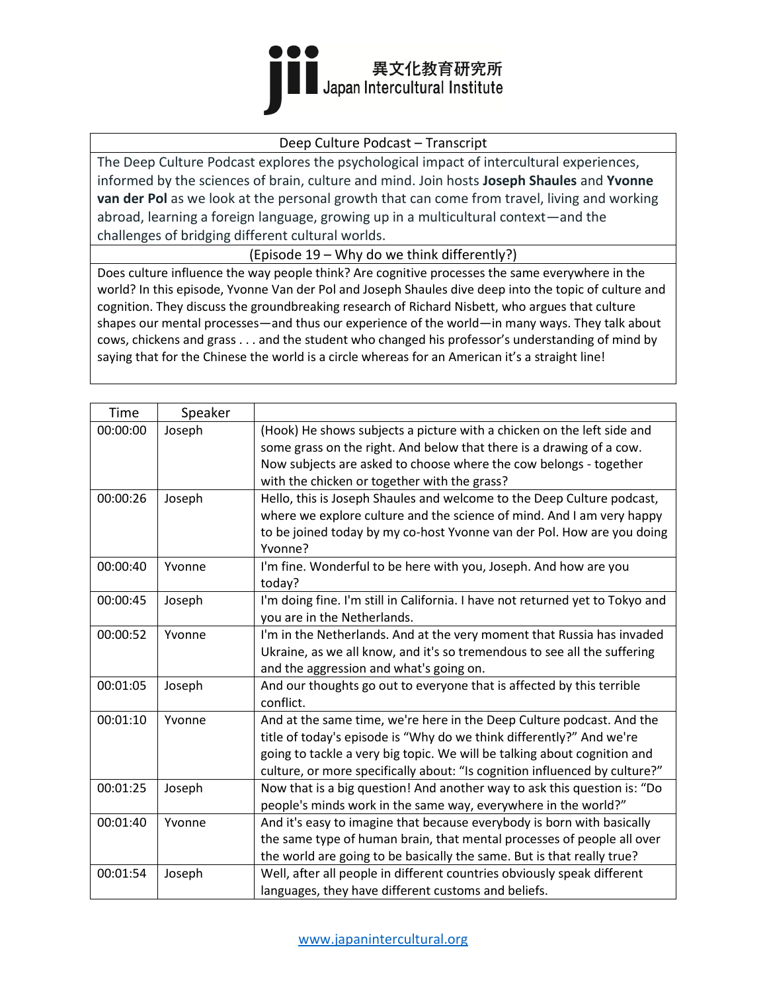

### Deep Culture Podcast – Transcript

The Deep Culture Podcast explores the psychological impact of intercultural experiences, informed by the sciences of brain, culture and mind. Join hosts **Joseph Shaules** and **Yvonne van der Pol** as we look at the personal growth that can come from travel, living and working abroad, learning a foreign language, growing up in a multicultural context—and the challenges of bridging different cultural worlds.

(Episode 19 – Why do we think differently?)

Does culture influence the way people think? Are cognitive processes the same everywhere in the world? In this episode, Yvonne Van der Pol and Joseph Shaules dive deep into the topic of culture and cognition. They discuss the groundbreaking research of Richard Nisbett, who argues that culture shapes our mental processes—and thus our experience of the world—in many ways. They talk about cows, chickens and grass . . . and the student who changed his professor's understanding of mind by saying that for the Chinese the world is a circle whereas for an American it's a straight line!

| Time     | Speaker |                                                                               |
|----------|---------|-------------------------------------------------------------------------------|
| 00:00:00 | Joseph  | (Hook) He shows subjects a picture with a chicken on the left side and        |
|          |         | some grass on the right. And below that there is a drawing of a cow.          |
|          |         | Now subjects are asked to choose where the cow belongs - together             |
|          |         | with the chicken or together with the grass?                                  |
| 00:00:26 | Joseph  | Hello, this is Joseph Shaules and welcome to the Deep Culture podcast,        |
|          |         | where we explore culture and the science of mind. And I am very happy         |
|          |         | to be joined today by my co-host Yvonne van der Pol. How are you doing        |
|          |         | Yvonne?                                                                       |
| 00:00:40 | Yvonne  | I'm fine. Wonderful to be here with you, Joseph. And how are you              |
|          |         | today?                                                                        |
| 00:00:45 | Joseph  | I'm doing fine. I'm still in California. I have not returned yet to Tokyo and |
|          |         | you are in the Netherlands.                                                   |
| 00:00:52 | Yvonne  | I'm in the Netherlands. And at the very moment that Russia has invaded        |
|          |         | Ukraine, as we all know, and it's so tremendous to see all the suffering      |
|          |         | and the aggression and what's going on.                                       |
| 00:01:05 | Joseph  | And our thoughts go out to everyone that is affected by this terrible         |
|          |         | conflict.                                                                     |
| 00:01:10 | Yvonne  | And at the same time, we're here in the Deep Culture podcast. And the         |
|          |         | title of today's episode is "Why do we think differently?" And we're          |
|          |         | going to tackle a very big topic. We will be talking about cognition and      |
|          |         | culture, or more specifically about: "Is cognition influenced by culture?"    |
| 00:01:25 | Joseph  | Now that is a big question! And another way to ask this question is: "Do      |
|          |         | people's minds work in the same way, everywhere in the world?"                |
| 00:01:40 | Yvonne  | And it's easy to imagine that because everybody is born with basically        |
|          |         | the same type of human brain, that mental processes of people all over        |
|          |         | the world are going to be basically the same. But is that really true?        |
| 00:01:54 | Joseph  | Well, after all people in different countries obviously speak different       |
|          |         | languages, they have different customs and beliefs.                           |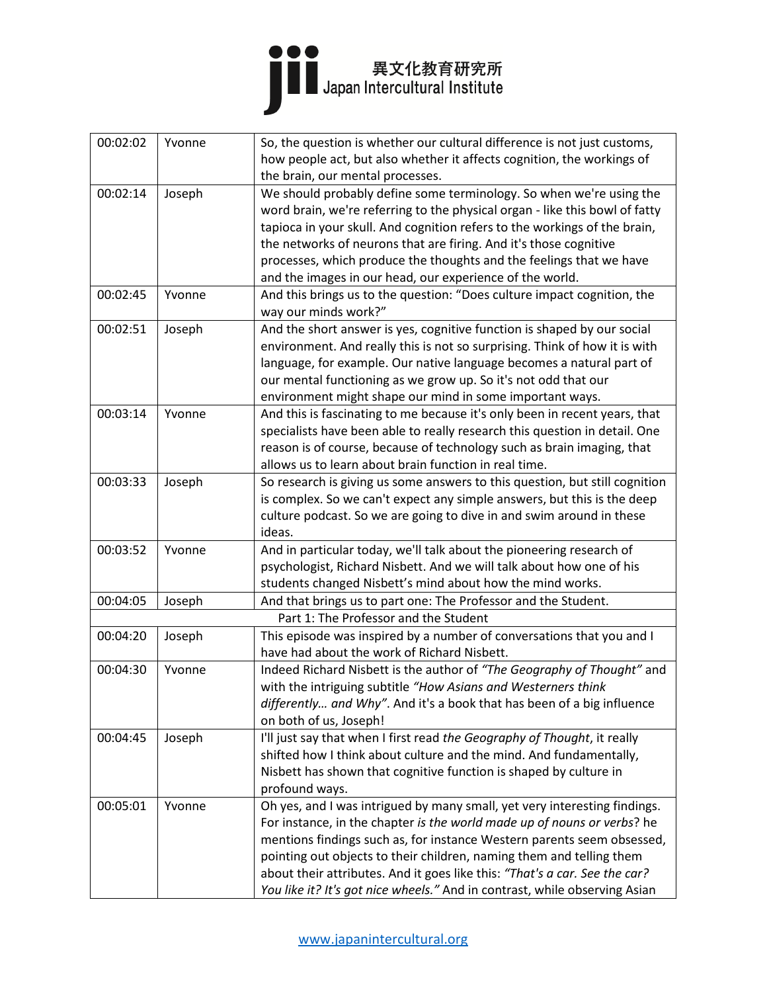# ●●●<br>■■ Japan Intercultural Institute

| 00:02:02 | Yvonne | So, the question is whether our cultural difference is not just customs,    |
|----------|--------|-----------------------------------------------------------------------------|
|          |        | how people act, but also whether it affects cognition, the workings of      |
|          |        | the brain, our mental processes.                                            |
| 00:02:14 | Joseph | We should probably define some terminology. So when we're using the         |
|          |        | word brain, we're referring to the physical organ - like this bowl of fatty |
|          |        | tapioca in your skull. And cognition refers to the workings of the brain,   |
|          |        | the networks of neurons that are firing. And it's those cognitive           |
|          |        | processes, which produce the thoughts and the feelings that we have         |
|          |        | and the images in our head, our experience of the world.                    |
| 00:02:45 | Yvonne | And this brings us to the question: "Does culture impact cognition, the     |
|          |        | way our minds work?"                                                        |
| 00:02:51 | Joseph | And the short answer is yes, cognitive function is shaped by our social     |
|          |        | environment. And really this is not so surprising. Think of how it is with  |
|          |        | language, for example. Our native language becomes a natural part of        |
|          |        | our mental functioning as we grow up. So it's not odd that our              |
|          |        | environment might shape our mind in some important ways.                    |
| 00:03:14 | Yvonne | And this is fascinating to me because it's only been in recent years, that  |
|          |        | specialists have been able to really research this question in detail. One  |
|          |        | reason is of course, because of technology such as brain imaging, that      |
|          |        | allows us to learn about brain function in real time.                       |
| 00:03:33 | Joseph | So research is giving us some answers to this question, but still cognition |
|          |        | is complex. So we can't expect any simple answers, but this is the deep     |
|          |        | culture podcast. So we are going to dive in and swim around in these        |
|          |        | ideas.                                                                      |
| 00:03:52 | Yvonne | And in particular today, we'll talk about the pioneering research of        |
|          |        | psychologist, Richard Nisbett. And we will talk about how one of his        |
|          |        | students changed Nisbett's mind about how the mind works.                   |
| 00:04:05 | Joseph | And that brings us to part one: The Professor and the Student.              |
|          |        | Part 1: The Professor and the Student                                       |
| 00:04:20 | Joseph | This episode was inspired by a number of conversations that you and I       |
|          |        | have had about the work of Richard Nisbett.                                 |
| 00:04:30 | Yvonne | Indeed Richard Nisbett is the author of "The Geography of Thought" and      |
|          |        | with the intriguing subtitle "How Asians and Westerners think               |
|          |        | differently and Why". And it's a book that has been of a big influence      |
|          |        | on both of us, Joseph!                                                      |
| 00:04:45 | Joseph | I'll just say that when I first read the Geography of Thought, it really    |
|          |        | shifted how I think about culture and the mind. And fundamentally,          |
|          |        | Nisbett has shown that cognitive function is shaped by culture in           |
|          |        | profound ways.                                                              |
| 00:05:01 | Yvonne | Oh yes, and I was intrigued by many small, yet very interesting findings.   |
|          |        | For instance, in the chapter is the world made up of nouns or verbs? he     |
|          |        | mentions findings such as, for instance Western parents seem obsessed,      |
|          |        | pointing out objects to their children, naming them and telling them        |
|          |        | about their attributes. And it goes like this: "That's a car. See the car?  |
|          |        | You like it? It's got nice wheels." And in contrast, while observing Asian  |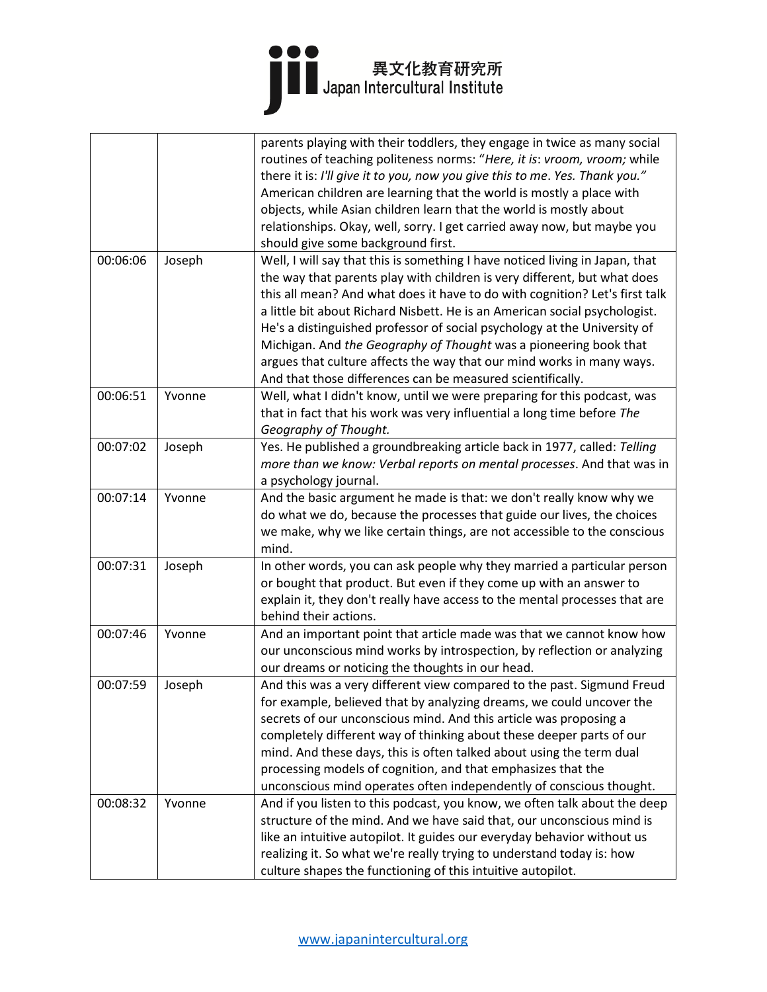|          |        | parents playing with their toddlers, they engage in twice as many social     |
|----------|--------|------------------------------------------------------------------------------|
|          |        | routines of teaching politeness norms: "Here, it is: vroom, vroom; while     |
|          |        | there it is: I'll give it to you, now you give this to me. Yes. Thank you."  |
|          |        | American children are learning that the world is mostly a place with         |
|          |        | objects, while Asian children learn that the world is mostly about           |
|          |        | relationships. Okay, well, sorry. I get carried away now, but maybe you      |
|          |        | should give some background first.                                           |
| 00:06:06 | Joseph | Well, I will say that this is something I have noticed living in Japan, that |
|          |        | the way that parents play with children is very different, but what does     |
|          |        | this all mean? And what does it have to do with cognition? Let's first talk  |
|          |        | a little bit about Richard Nisbett. He is an American social psychologist.   |
|          |        | He's a distinguished professor of social psychology at the University of     |
|          |        | Michigan. And the Geography of Thought was a pioneering book that            |
|          |        | argues that culture affects the way that our mind works in many ways.        |
|          |        | And that those differences can be measured scientifically.                   |
| 00:06:51 | Yvonne | Well, what I didn't know, until we were preparing for this podcast, was      |
|          |        | that in fact that his work was very influential a long time before The       |
|          |        | Geography of Thought.                                                        |
| 00:07:02 | Joseph | Yes. He published a groundbreaking article back in 1977, called: Telling     |
|          |        | more than we know: Verbal reports on mental processes. And that was in       |
|          |        | a psychology journal.                                                        |
| 00:07:14 | Yvonne | And the basic argument he made is that: we don't really know why we          |
|          |        | do what we do, because the processes that guide our lives, the choices       |
|          |        | we make, why we like certain things, are not accessible to the conscious     |
|          |        | mind.                                                                        |
| 00:07:31 | Joseph | In other words, you can ask people why they married a particular person      |
|          |        | or bought that product. But even if they come up with an answer to           |
|          |        | explain it, they don't really have access to the mental processes that are   |
|          |        | behind their actions.                                                        |
| 00:07:46 | Yvonne | And an important point that article made was that we cannot know how         |
|          |        | our unconscious mind works by introspection, by reflection or analyzing      |
|          |        | our dreams or noticing the thoughts in our head.                             |
| 00:07:59 | Joseph | And this was a very different view compared to the past. Sigmund Freud       |
|          |        | for example, believed that by analyzing dreams, we could uncover the         |
|          |        | secrets of our unconscious mind. And this article was proposing a            |
|          |        | completely different way of thinking about these deeper parts of our         |
|          |        | mind. And these days, this is often talked about using the term dual         |
|          |        | processing models of cognition, and that emphasizes that the                 |
|          |        | unconscious mind operates often independently of conscious thought.          |
| 00:08:32 | Yvonne | And if you listen to this podcast, you know, we often talk about the deep    |
|          |        | structure of the mind. And we have said that, our unconscious mind is        |
|          |        | like an intuitive autopilot. It guides our everyday behavior without us      |
|          |        | realizing it. So what we're really trying to understand today is: how        |
|          |        | culture shapes the functioning of this intuitive autopilot.                  |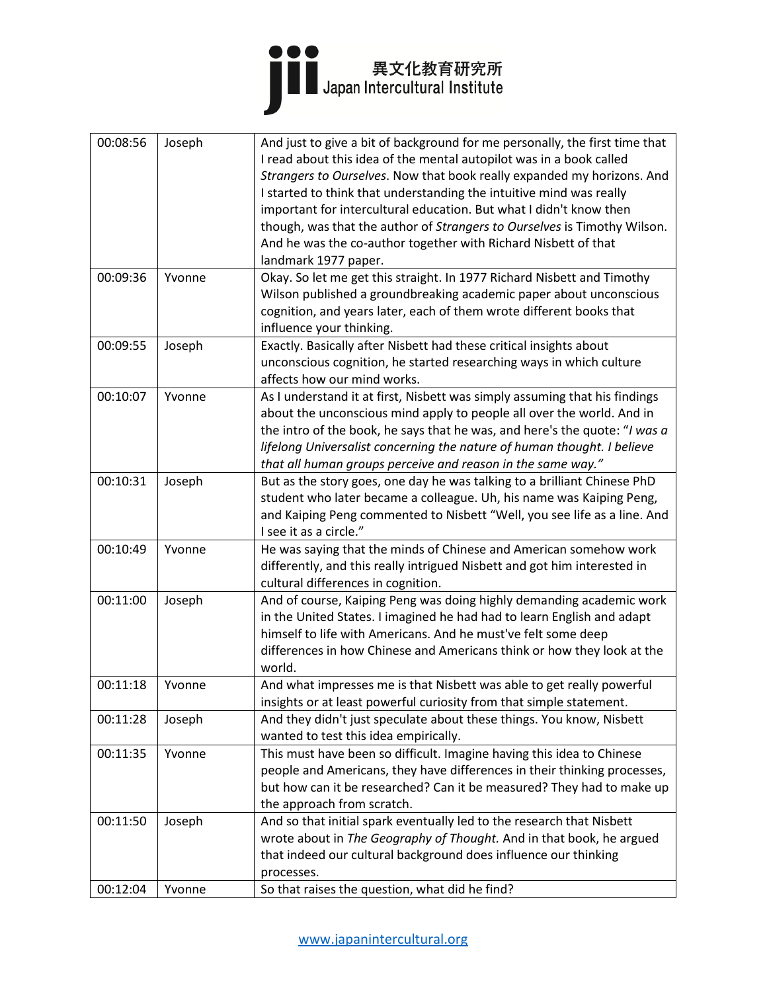

| 00:08:56 | Joseph | And just to give a bit of background for me personally, the first time that<br>I read about this idea of the mental autopilot was in a book called<br>Strangers to Ourselves. Now that book really expanded my horizons. And<br>I started to think that understanding the intuitive mind was really<br>important for intercultural education. But what I didn't know then<br>though, was that the author of Strangers to Ourselves is Timothy Wilson.<br>And he was the co-author together with Richard Nisbett of that<br>landmark 1977 paper. |
|----------|--------|-------------------------------------------------------------------------------------------------------------------------------------------------------------------------------------------------------------------------------------------------------------------------------------------------------------------------------------------------------------------------------------------------------------------------------------------------------------------------------------------------------------------------------------------------|
| 00:09:36 | Yvonne | Okay. So let me get this straight. In 1977 Richard Nisbett and Timothy<br>Wilson published a groundbreaking academic paper about unconscious<br>cognition, and years later, each of them wrote different books that<br>influence your thinking.                                                                                                                                                                                                                                                                                                 |
| 00:09:55 | Joseph | Exactly. Basically after Nisbett had these critical insights about<br>unconscious cognition, he started researching ways in which culture<br>affects how our mind works.                                                                                                                                                                                                                                                                                                                                                                        |
| 00:10:07 | Yvonne | As I understand it at first, Nisbett was simply assuming that his findings<br>about the unconscious mind apply to people all over the world. And in<br>the intro of the book, he says that he was, and here's the quote: "I was a<br>lifelong Universalist concerning the nature of human thought. I believe<br>that all human groups perceive and reason in the same way."                                                                                                                                                                     |
| 00:10:31 | Joseph | But as the story goes, one day he was talking to a brilliant Chinese PhD<br>student who later became a colleague. Uh, his name was Kaiping Peng,<br>and Kaiping Peng commented to Nisbett "Well, you see life as a line. And<br>I see it as a circle."                                                                                                                                                                                                                                                                                          |
| 00:10:49 | Yvonne | He was saying that the minds of Chinese and American somehow work<br>differently, and this really intrigued Nisbett and got him interested in<br>cultural differences in cognition.                                                                                                                                                                                                                                                                                                                                                             |
| 00:11:00 | Joseph | And of course, Kaiping Peng was doing highly demanding academic work<br>in the United States. I imagined he had had to learn English and adapt<br>himself to life with Americans. And he must've felt some deep<br>differences in how Chinese and Americans think or how they look at the<br>world.                                                                                                                                                                                                                                             |
| 00:11:18 | Yvonne | And what impresses me is that Nisbett was able to get really powerful<br>insights or at least powerful curiosity from that simple statement.                                                                                                                                                                                                                                                                                                                                                                                                    |
| 00:11:28 | Joseph | And they didn't just speculate about these things. You know, Nisbett<br>wanted to test this idea empirically.                                                                                                                                                                                                                                                                                                                                                                                                                                   |
| 00:11:35 | Yvonne | This must have been so difficult. Imagine having this idea to Chinese<br>people and Americans, they have differences in their thinking processes,<br>but how can it be researched? Can it be measured? They had to make up<br>the approach from scratch.                                                                                                                                                                                                                                                                                        |
| 00:11:50 | Joseph | And so that initial spark eventually led to the research that Nisbett<br>wrote about in The Geography of Thought. And in that book, he argued<br>that indeed our cultural background does influence our thinking<br>processes.                                                                                                                                                                                                                                                                                                                  |
| 00:12:04 | Yvonne | So that raises the question, what did he find?                                                                                                                                                                                                                                                                                                                                                                                                                                                                                                  |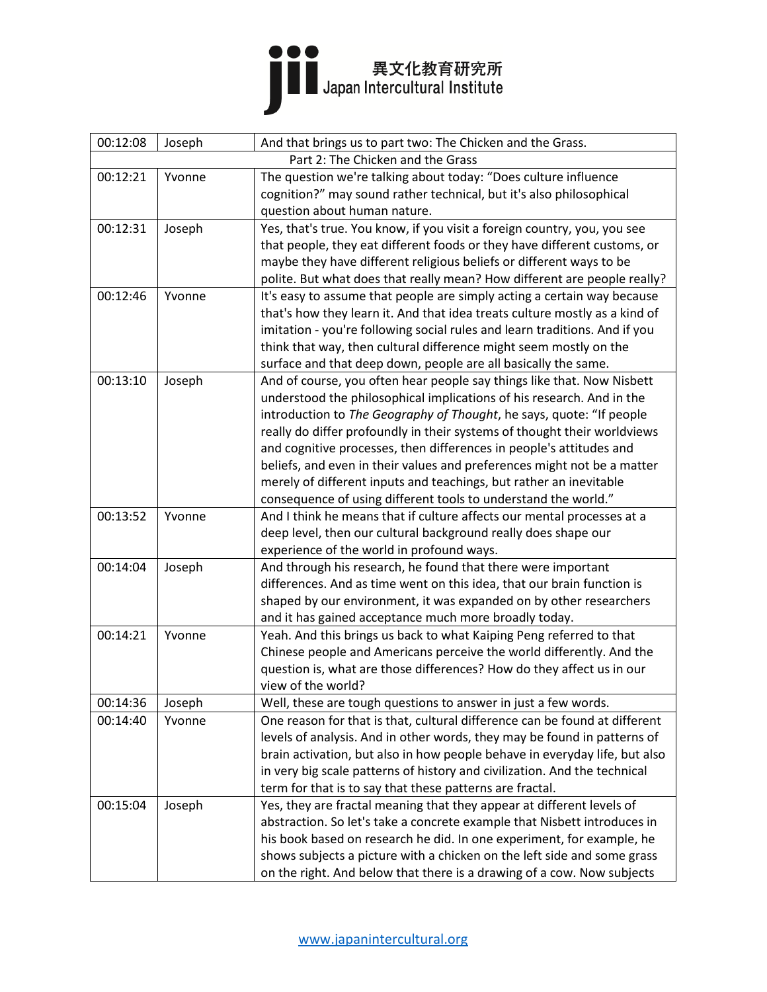

| 00:12:08                          | Joseph | And that brings us to part two: The Chicken and the Grass.                 |
|-----------------------------------|--------|----------------------------------------------------------------------------|
| Part 2: The Chicken and the Grass |        |                                                                            |
| 00:12:21                          | Yvonne | The question we're talking about today: "Does culture influence            |
|                                   |        | cognition?" may sound rather technical, but it's also philosophical        |
|                                   |        | question about human nature.                                               |
| 00:12:31                          | Joseph | Yes, that's true. You know, if you visit a foreign country, you, you see   |
|                                   |        | that people, they eat different foods or they have different customs, or   |
|                                   |        | maybe they have different religious beliefs or different ways to be        |
|                                   |        | polite. But what does that really mean? How different are people really?   |
| 00:12:46                          | Yvonne | It's easy to assume that people are simply acting a certain way because    |
|                                   |        | that's how they learn it. And that idea treats culture mostly as a kind of |
|                                   |        | imitation - you're following social rules and learn traditions. And if you |
|                                   |        | think that way, then cultural difference might seem mostly on the          |
|                                   |        | surface and that deep down, people are all basically the same.             |
| 00:13:10                          | Joseph | And of course, you often hear people say things like that. Now Nisbett     |
|                                   |        | understood the philosophical implications of his research. And in the      |
|                                   |        | introduction to The Geography of Thought, he says, quote: "If people       |
|                                   |        | really do differ profoundly in their systems of thought their worldviews   |
|                                   |        | and cognitive processes, then differences in people's attitudes and        |
|                                   |        | beliefs, and even in their values and preferences might not be a matter    |
|                                   |        | merely of different inputs and teachings, but rather an inevitable         |
|                                   |        | consequence of using different tools to understand the world."             |
| 00:13:52                          | Yvonne | And I think he means that if culture affects our mental processes at a     |
|                                   |        | deep level, then our cultural background really does shape our             |
|                                   |        | experience of the world in profound ways.                                  |
| 00:14:04                          | Joseph | And through his research, he found that there were important               |
|                                   |        | differences. And as time went on this idea, that our brain function is     |
|                                   |        | shaped by our environment, it was expanded on by other researchers         |
|                                   |        | and it has gained acceptance much more broadly today.                      |
| 00:14:21                          | Yvonne | Yeah. And this brings us back to what Kaiping Peng referred to that        |
|                                   |        | Chinese people and Americans perceive the world differently. And the       |
|                                   |        | question is, what are those differences? How do they affect us in our      |
|                                   |        | view of the world?                                                         |
| 00:14:36                          | Joseph | Well, these are tough questions to answer in just a few words.             |
| 00:14:40                          | Yvonne | One reason for that is that, cultural difference can be found at different |
|                                   |        | levels of analysis. And in other words, they may be found in patterns of   |
|                                   |        | brain activation, but also in how people behave in everyday life, but also |
|                                   |        | in very big scale patterns of history and civilization. And the technical  |
|                                   |        | term for that is to say that these patterns are fractal.                   |
| 00:15:04                          | Joseph | Yes, they are fractal meaning that they appear at different levels of      |
|                                   |        | abstraction. So let's take a concrete example that Nisbett introduces in   |
|                                   |        | his book based on research he did. In one experiment, for example, he      |
|                                   |        | shows subjects a picture with a chicken on the left side and some grass    |
|                                   |        | on the right. And below that there is a drawing of a cow. Now subjects     |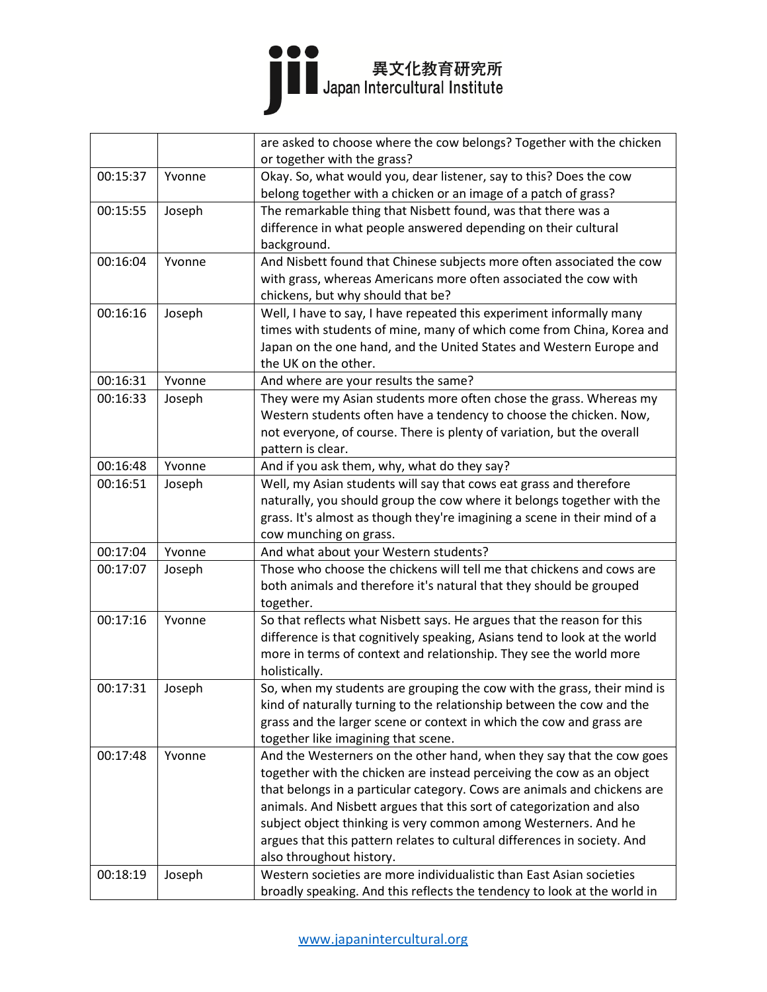|          |        | are asked to choose where the cow belongs? Together with the chicken      |
|----------|--------|---------------------------------------------------------------------------|
|          |        | or together with the grass?                                               |
| 00:15:37 | Yvonne | Okay. So, what would you, dear listener, say to this? Does the cow        |
|          |        | belong together with a chicken or an image of a patch of grass?           |
| 00:15:55 | Joseph | The remarkable thing that Nisbett found, was that there was a             |
|          |        | difference in what people answered depending on their cultural            |
|          |        | background.                                                               |
| 00:16:04 | Yvonne | And Nisbett found that Chinese subjects more often associated the cow     |
|          |        | with grass, whereas Americans more often associated the cow with          |
|          |        | chickens, but why should that be?                                         |
| 00:16:16 | Joseph | Well, I have to say, I have repeated this experiment informally many      |
|          |        | times with students of mine, many of which come from China, Korea and     |
|          |        | Japan on the one hand, and the United States and Western Europe and       |
|          |        | the UK on the other.                                                      |
| 00:16:31 | Yvonne | And where are your results the same?                                      |
| 00:16:33 | Joseph | They were my Asian students more often chose the grass. Whereas my        |
|          |        | Western students often have a tendency to choose the chicken. Now,        |
|          |        | not everyone, of course. There is plenty of variation, but the overall    |
|          |        | pattern is clear.                                                         |
| 00:16:48 | Yvonne | And if you ask them, why, what do they say?                               |
| 00:16:51 | Joseph | Well, my Asian students will say that cows eat grass and therefore        |
|          |        | naturally, you should group the cow where it belongs together with the    |
|          |        | grass. It's almost as though they're imagining a scene in their mind of a |
|          |        | cow munching on grass.                                                    |
| 00:17:04 | Yvonne | And what about your Western students?                                     |
| 00:17:07 | Joseph | Those who choose the chickens will tell me that chickens and cows are     |
|          |        | both animals and therefore it's natural that they should be grouped       |
|          |        | together.                                                                 |
| 00:17:16 | Yvonne | So that reflects what Nisbett says. He argues that the reason for this    |
|          |        | difference is that cognitively speaking, Asians tend to look at the world |
|          |        | more in terms of context and relationship. They see the world more        |
|          |        | holistically.                                                             |
| 00:17:31 | Joseph | So, when my students are grouping the cow with the grass, their mind is   |
|          |        | kind of naturally turning to the relationship between the cow and the     |
|          |        | grass and the larger scene or context in which the cow and grass are      |
|          |        | together like imagining that scene.                                       |
| 00:17:48 | Yvonne | And the Westerners on the other hand, when they say that the cow goes     |
|          |        | together with the chicken are instead perceiving the cow as an object     |
|          |        | that belongs in a particular category. Cows are animals and chickens are  |
|          |        | animals. And Nisbett argues that this sort of categorization and also     |
|          |        | subject object thinking is very common among Westerners. And he           |
|          |        | argues that this pattern relates to cultural differences in society. And  |
|          |        | also throughout history.                                                  |
| 00:18:19 | Joseph | Western societies are more individualistic than East Asian societies      |
|          |        | broadly speaking. And this reflects the tendency to look at the world in  |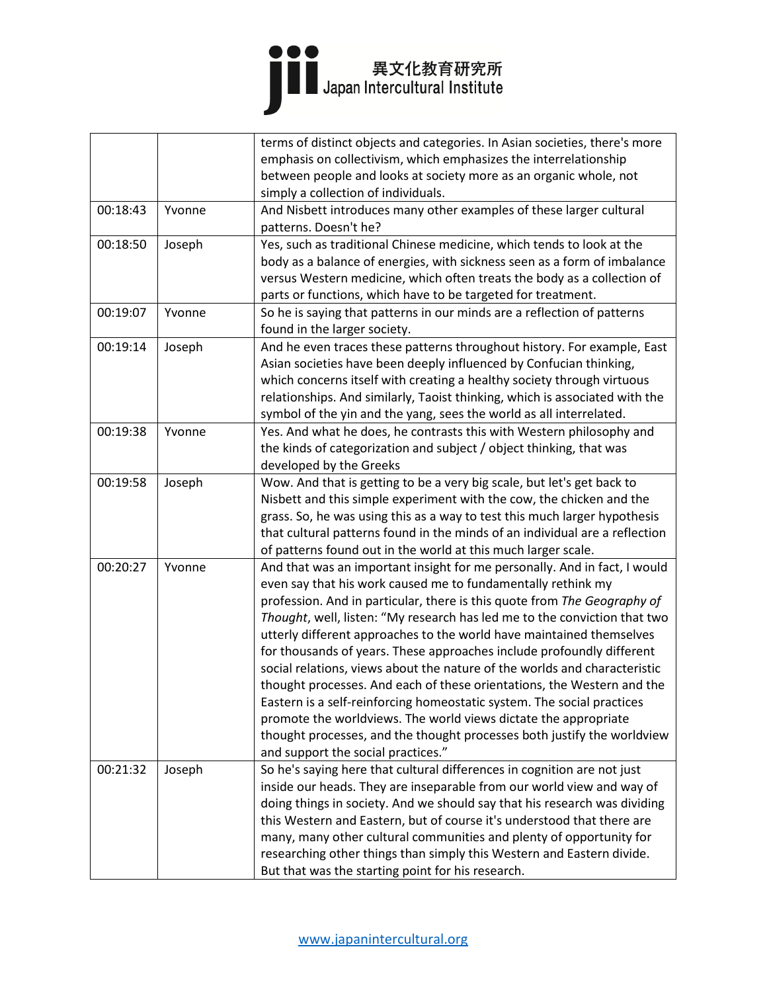|          |        | terms of distinct objects and categories. In Asian societies, there's more  |
|----------|--------|-----------------------------------------------------------------------------|
|          |        | emphasis on collectivism, which emphasizes the interrelationship            |
|          |        | between people and looks at society more as an organic whole, not           |
|          |        | simply a collection of individuals.                                         |
| 00:18:43 | Yvonne | And Nisbett introduces many other examples of these larger cultural         |
|          |        | patterns. Doesn't he?                                                       |
| 00:18:50 | Joseph | Yes, such as traditional Chinese medicine, which tends to look at the       |
|          |        | body as a balance of energies, with sickness seen as a form of imbalance    |
|          |        | versus Western medicine, which often treats the body as a collection of     |
|          |        | parts or functions, which have to be targeted for treatment.                |
| 00:19:07 | Yvonne | So he is saying that patterns in our minds are a reflection of patterns     |
|          |        | found in the larger society.                                                |
| 00:19:14 | Joseph | And he even traces these patterns throughout history. For example, East     |
|          |        | Asian societies have been deeply influenced by Confucian thinking,          |
|          |        | which concerns itself with creating a healthy society through virtuous      |
|          |        | relationships. And similarly, Taoist thinking, which is associated with the |
|          |        | symbol of the yin and the yang, sees the world as all interrelated.         |
| 00:19:38 | Yvonne | Yes. And what he does, he contrasts this with Western philosophy and        |
|          |        | the kinds of categorization and subject / object thinking, that was         |
|          |        | developed by the Greeks                                                     |
| 00:19:58 | Joseph | Wow. And that is getting to be a very big scale, but let's get back to      |
|          |        | Nisbett and this simple experiment with the cow, the chicken and the        |
|          |        | grass. So, he was using this as a way to test this much larger hypothesis   |
|          |        | that cultural patterns found in the minds of an individual are a reflection |
|          |        | of patterns found out in the world at this much larger scale.               |
| 00:20:27 | Yvonne | And that was an important insight for me personally. And in fact, I would   |
|          |        | even say that his work caused me to fundamentally rethink my                |
|          |        | profession. And in particular, there is this quote from The Geography of    |
|          |        | Thought, well, listen: "My research has led me to the conviction that two   |
|          |        | utterly different approaches to the world have maintained themselves        |
|          |        | for thousands of years. These approaches include profoundly different       |
|          |        | social relations, views about the nature of the worlds and characteristic   |
|          |        | thought processes. And each of these orientations, the Western and the      |
|          |        | Eastern is a self-reinforcing homeostatic system. The social practices      |
|          |        | promote the worldviews. The world views dictate the appropriate             |
|          |        | thought processes, and the thought processes both justify the worldview     |
|          |        | and support the social practices."                                          |
| 00:21:32 | Joseph | So he's saying here that cultural differences in cognition are not just     |
|          |        | inside our heads. They are inseparable from our world view and way of       |
|          |        | doing things in society. And we should say that his research was dividing   |
|          |        | this Western and Eastern, but of course it's understood that there are      |
|          |        | many, many other cultural communities and plenty of opportunity for         |
|          |        | researching other things than simply this Western and Eastern divide.       |
|          |        | But that was the starting point for his research.                           |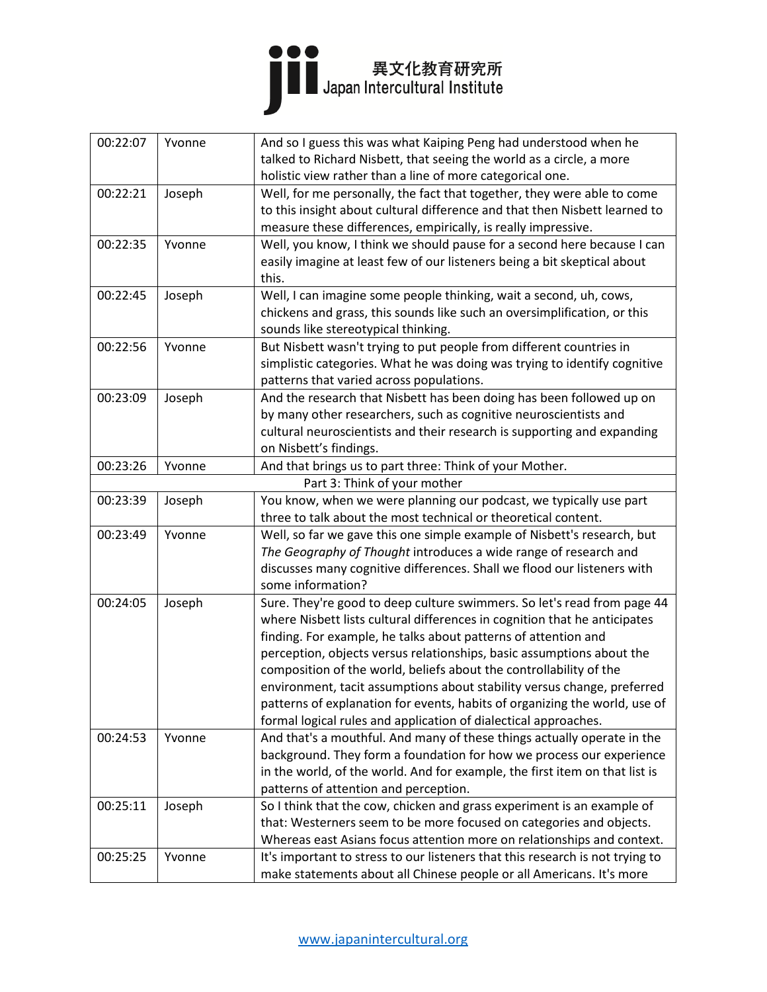| 00:22:07<br>Yvonne<br>And so I guess this was what Kaiping Peng had understood when he<br>talked to Richard Nisbett, that seeing the world as a circle, a more<br>holistic view rather than a line of more categorical one.<br>00:22:21<br>Joseph<br>Well, for me personally, the fact that together, they were able to come<br>to this insight about cultural difference and that then Nisbett learned to<br>measure these differences, empirically, is really impressive.<br>Well, you know, I think we should pause for a second here because I can<br>00:22:35<br>Yvonne<br>easily imagine at least few of our listeners being a bit skeptical about<br>this.<br>00:22:45<br>Joseph<br>Well, I can imagine some people thinking, wait a second, uh, cows,<br>chickens and grass, this sounds like such an oversimplification, or this<br>sounds like stereotypical thinking.<br>00:22:56<br>Yvonne<br>But Nisbett wasn't trying to put people from different countries in<br>simplistic categories. What he was doing was trying to identify cognitive<br>patterns that varied across populations.<br>Joseph<br>And the research that Nisbett has been doing has been followed up on<br>00:23:09<br>by many other researchers, such as cognitive neuroscientists and<br>cultural neuroscientists and their research is supporting and expanding<br>on Nisbett's findings.<br>00:23:26<br>Yvonne<br>And that brings us to part three: Think of your Mother.<br>Part 3: Think of your mother<br>You know, when we were planning our podcast, we typically use part<br>00:23:39<br>Joseph<br>three to talk about the most technical or theoretical content.<br>Well, so far we gave this one simple example of Nisbett's research, but<br>00:23:49<br>Yvonne<br>The Geography of Thought introduces a wide range of research and<br>discusses many cognitive differences. Shall we flood our listeners with<br>some information?<br>00:24:05<br>Sure. They're good to deep culture swimmers. So let's read from page 44<br>Joseph<br>where Nisbett lists cultural differences in cognition that he anticipates<br>finding. For example, he talks about patterns of attention and<br>perception, objects versus relationships, basic assumptions about the<br>composition of the world, beliefs about the controllability of the<br>environment, tacit assumptions about stability versus change, preferred<br>patterns of explanation for events, habits of organizing the world, use of<br>formal logical rules and application of dialectical approaches.<br>And that's a mouthful. And many of these things actually operate in the<br>00:24:53<br>Yvonne<br>background. They form a foundation for how we process our experience<br>in the world, of the world. And for example, the first item on that list is<br>patterns of attention and perception.<br>00:25:11<br>So I think that the cow, chicken and grass experiment is an example of<br>Joseph<br>that: Westerners seem to be more focused on categories and objects.<br>Whereas east Asians focus attention more on relationships and context.<br>It's important to stress to our listeners that this research is not trying to<br>Yvonne<br>00:25:25 |  |                                                                      |
|-----------------------------------------------------------------------------------------------------------------------------------------------------------------------------------------------------------------------------------------------------------------------------------------------------------------------------------------------------------------------------------------------------------------------------------------------------------------------------------------------------------------------------------------------------------------------------------------------------------------------------------------------------------------------------------------------------------------------------------------------------------------------------------------------------------------------------------------------------------------------------------------------------------------------------------------------------------------------------------------------------------------------------------------------------------------------------------------------------------------------------------------------------------------------------------------------------------------------------------------------------------------------------------------------------------------------------------------------------------------------------------------------------------------------------------------------------------------------------------------------------------------------------------------------------------------------------------------------------------------------------------------------------------------------------------------------------------------------------------------------------------------------------------------------------------------------------------------------------------------------------------------------------------------------------------------------------------------------------------------------------------------------------------------------------------------------------------------------------------------------------------------------------------------------------------------------------------------------------------------------------------------------------------------------------------------------------------------------------------------------------------------------------------------------------------------------------------------------------------------------------------------------------------------------------------------------------------------------------------------------------------------------------------------------------------------------------------------------------------------------------------------------------------------------------------------------------------------------------------------------------------------------------------------------------------------------------------------------------------------------------------------------------------------------------------------------------------------------------------------------------------------------------------------------------------------------------------------------|--|----------------------------------------------------------------------|
|                                                                                                                                                                                                                                                                                                                                                                                                                                                                                                                                                                                                                                                                                                                                                                                                                                                                                                                                                                                                                                                                                                                                                                                                                                                                                                                                                                                                                                                                                                                                                                                                                                                                                                                                                                                                                                                                                                                                                                                                                                                                                                                                                                                                                                                                                                                                                                                                                                                                                                                                                                                                                                                                                                                                                                                                                                                                                                                                                                                                                                                                                                                                                                                                                       |  |                                                                      |
|                                                                                                                                                                                                                                                                                                                                                                                                                                                                                                                                                                                                                                                                                                                                                                                                                                                                                                                                                                                                                                                                                                                                                                                                                                                                                                                                                                                                                                                                                                                                                                                                                                                                                                                                                                                                                                                                                                                                                                                                                                                                                                                                                                                                                                                                                                                                                                                                                                                                                                                                                                                                                                                                                                                                                                                                                                                                                                                                                                                                                                                                                                                                                                                                                       |  |                                                                      |
|                                                                                                                                                                                                                                                                                                                                                                                                                                                                                                                                                                                                                                                                                                                                                                                                                                                                                                                                                                                                                                                                                                                                                                                                                                                                                                                                                                                                                                                                                                                                                                                                                                                                                                                                                                                                                                                                                                                                                                                                                                                                                                                                                                                                                                                                                                                                                                                                                                                                                                                                                                                                                                                                                                                                                                                                                                                                                                                                                                                                                                                                                                                                                                                                                       |  |                                                                      |
|                                                                                                                                                                                                                                                                                                                                                                                                                                                                                                                                                                                                                                                                                                                                                                                                                                                                                                                                                                                                                                                                                                                                                                                                                                                                                                                                                                                                                                                                                                                                                                                                                                                                                                                                                                                                                                                                                                                                                                                                                                                                                                                                                                                                                                                                                                                                                                                                                                                                                                                                                                                                                                                                                                                                                                                                                                                                                                                                                                                                                                                                                                                                                                                                                       |  |                                                                      |
|                                                                                                                                                                                                                                                                                                                                                                                                                                                                                                                                                                                                                                                                                                                                                                                                                                                                                                                                                                                                                                                                                                                                                                                                                                                                                                                                                                                                                                                                                                                                                                                                                                                                                                                                                                                                                                                                                                                                                                                                                                                                                                                                                                                                                                                                                                                                                                                                                                                                                                                                                                                                                                                                                                                                                                                                                                                                                                                                                                                                                                                                                                                                                                                                                       |  |                                                                      |
|                                                                                                                                                                                                                                                                                                                                                                                                                                                                                                                                                                                                                                                                                                                                                                                                                                                                                                                                                                                                                                                                                                                                                                                                                                                                                                                                                                                                                                                                                                                                                                                                                                                                                                                                                                                                                                                                                                                                                                                                                                                                                                                                                                                                                                                                                                                                                                                                                                                                                                                                                                                                                                                                                                                                                                                                                                                                                                                                                                                                                                                                                                                                                                                                                       |  |                                                                      |
|                                                                                                                                                                                                                                                                                                                                                                                                                                                                                                                                                                                                                                                                                                                                                                                                                                                                                                                                                                                                                                                                                                                                                                                                                                                                                                                                                                                                                                                                                                                                                                                                                                                                                                                                                                                                                                                                                                                                                                                                                                                                                                                                                                                                                                                                                                                                                                                                                                                                                                                                                                                                                                                                                                                                                                                                                                                                                                                                                                                                                                                                                                                                                                                                                       |  |                                                                      |
|                                                                                                                                                                                                                                                                                                                                                                                                                                                                                                                                                                                                                                                                                                                                                                                                                                                                                                                                                                                                                                                                                                                                                                                                                                                                                                                                                                                                                                                                                                                                                                                                                                                                                                                                                                                                                                                                                                                                                                                                                                                                                                                                                                                                                                                                                                                                                                                                                                                                                                                                                                                                                                                                                                                                                                                                                                                                                                                                                                                                                                                                                                                                                                                                                       |  |                                                                      |
|                                                                                                                                                                                                                                                                                                                                                                                                                                                                                                                                                                                                                                                                                                                                                                                                                                                                                                                                                                                                                                                                                                                                                                                                                                                                                                                                                                                                                                                                                                                                                                                                                                                                                                                                                                                                                                                                                                                                                                                                                                                                                                                                                                                                                                                                                                                                                                                                                                                                                                                                                                                                                                                                                                                                                                                                                                                                                                                                                                                                                                                                                                                                                                                                                       |  |                                                                      |
|                                                                                                                                                                                                                                                                                                                                                                                                                                                                                                                                                                                                                                                                                                                                                                                                                                                                                                                                                                                                                                                                                                                                                                                                                                                                                                                                                                                                                                                                                                                                                                                                                                                                                                                                                                                                                                                                                                                                                                                                                                                                                                                                                                                                                                                                                                                                                                                                                                                                                                                                                                                                                                                                                                                                                                                                                                                                                                                                                                                                                                                                                                                                                                                                                       |  |                                                                      |
|                                                                                                                                                                                                                                                                                                                                                                                                                                                                                                                                                                                                                                                                                                                                                                                                                                                                                                                                                                                                                                                                                                                                                                                                                                                                                                                                                                                                                                                                                                                                                                                                                                                                                                                                                                                                                                                                                                                                                                                                                                                                                                                                                                                                                                                                                                                                                                                                                                                                                                                                                                                                                                                                                                                                                                                                                                                                                                                                                                                                                                                                                                                                                                                                                       |  |                                                                      |
|                                                                                                                                                                                                                                                                                                                                                                                                                                                                                                                                                                                                                                                                                                                                                                                                                                                                                                                                                                                                                                                                                                                                                                                                                                                                                                                                                                                                                                                                                                                                                                                                                                                                                                                                                                                                                                                                                                                                                                                                                                                                                                                                                                                                                                                                                                                                                                                                                                                                                                                                                                                                                                                                                                                                                                                                                                                                                                                                                                                                                                                                                                                                                                                                                       |  |                                                                      |
|                                                                                                                                                                                                                                                                                                                                                                                                                                                                                                                                                                                                                                                                                                                                                                                                                                                                                                                                                                                                                                                                                                                                                                                                                                                                                                                                                                                                                                                                                                                                                                                                                                                                                                                                                                                                                                                                                                                                                                                                                                                                                                                                                                                                                                                                                                                                                                                                                                                                                                                                                                                                                                                                                                                                                                                                                                                                                                                                                                                                                                                                                                                                                                                                                       |  |                                                                      |
|                                                                                                                                                                                                                                                                                                                                                                                                                                                                                                                                                                                                                                                                                                                                                                                                                                                                                                                                                                                                                                                                                                                                                                                                                                                                                                                                                                                                                                                                                                                                                                                                                                                                                                                                                                                                                                                                                                                                                                                                                                                                                                                                                                                                                                                                                                                                                                                                                                                                                                                                                                                                                                                                                                                                                                                                                                                                                                                                                                                                                                                                                                                                                                                                                       |  |                                                                      |
|                                                                                                                                                                                                                                                                                                                                                                                                                                                                                                                                                                                                                                                                                                                                                                                                                                                                                                                                                                                                                                                                                                                                                                                                                                                                                                                                                                                                                                                                                                                                                                                                                                                                                                                                                                                                                                                                                                                                                                                                                                                                                                                                                                                                                                                                                                                                                                                                                                                                                                                                                                                                                                                                                                                                                                                                                                                                                                                                                                                                                                                                                                                                                                                                                       |  |                                                                      |
|                                                                                                                                                                                                                                                                                                                                                                                                                                                                                                                                                                                                                                                                                                                                                                                                                                                                                                                                                                                                                                                                                                                                                                                                                                                                                                                                                                                                                                                                                                                                                                                                                                                                                                                                                                                                                                                                                                                                                                                                                                                                                                                                                                                                                                                                                                                                                                                                                                                                                                                                                                                                                                                                                                                                                                                                                                                                                                                                                                                                                                                                                                                                                                                                                       |  |                                                                      |
|                                                                                                                                                                                                                                                                                                                                                                                                                                                                                                                                                                                                                                                                                                                                                                                                                                                                                                                                                                                                                                                                                                                                                                                                                                                                                                                                                                                                                                                                                                                                                                                                                                                                                                                                                                                                                                                                                                                                                                                                                                                                                                                                                                                                                                                                                                                                                                                                                                                                                                                                                                                                                                                                                                                                                                                                                                                                                                                                                                                                                                                                                                                                                                                                                       |  |                                                                      |
|                                                                                                                                                                                                                                                                                                                                                                                                                                                                                                                                                                                                                                                                                                                                                                                                                                                                                                                                                                                                                                                                                                                                                                                                                                                                                                                                                                                                                                                                                                                                                                                                                                                                                                                                                                                                                                                                                                                                                                                                                                                                                                                                                                                                                                                                                                                                                                                                                                                                                                                                                                                                                                                                                                                                                                                                                                                                                                                                                                                                                                                                                                                                                                                                                       |  |                                                                      |
|                                                                                                                                                                                                                                                                                                                                                                                                                                                                                                                                                                                                                                                                                                                                                                                                                                                                                                                                                                                                                                                                                                                                                                                                                                                                                                                                                                                                                                                                                                                                                                                                                                                                                                                                                                                                                                                                                                                                                                                                                                                                                                                                                                                                                                                                                                                                                                                                                                                                                                                                                                                                                                                                                                                                                                                                                                                                                                                                                                                                                                                                                                                                                                                                                       |  |                                                                      |
|                                                                                                                                                                                                                                                                                                                                                                                                                                                                                                                                                                                                                                                                                                                                                                                                                                                                                                                                                                                                                                                                                                                                                                                                                                                                                                                                                                                                                                                                                                                                                                                                                                                                                                                                                                                                                                                                                                                                                                                                                                                                                                                                                                                                                                                                                                                                                                                                                                                                                                                                                                                                                                                                                                                                                                                                                                                                                                                                                                                                                                                                                                                                                                                                                       |  |                                                                      |
|                                                                                                                                                                                                                                                                                                                                                                                                                                                                                                                                                                                                                                                                                                                                                                                                                                                                                                                                                                                                                                                                                                                                                                                                                                                                                                                                                                                                                                                                                                                                                                                                                                                                                                                                                                                                                                                                                                                                                                                                                                                                                                                                                                                                                                                                                                                                                                                                                                                                                                                                                                                                                                                                                                                                                                                                                                                                                                                                                                                                                                                                                                                                                                                                                       |  |                                                                      |
|                                                                                                                                                                                                                                                                                                                                                                                                                                                                                                                                                                                                                                                                                                                                                                                                                                                                                                                                                                                                                                                                                                                                                                                                                                                                                                                                                                                                                                                                                                                                                                                                                                                                                                                                                                                                                                                                                                                                                                                                                                                                                                                                                                                                                                                                                                                                                                                                                                                                                                                                                                                                                                                                                                                                                                                                                                                                                                                                                                                                                                                                                                                                                                                                                       |  |                                                                      |
|                                                                                                                                                                                                                                                                                                                                                                                                                                                                                                                                                                                                                                                                                                                                                                                                                                                                                                                                                                                                                                                                                                                                                                                                                                                                                                                                                                                                                                                                                                                                                                                                                                                                                                                                                                                                                                                                                                                                                                                                                                                                                                                                                                                                                                                                                                                                                                                                                                                                                                                                                                                                                                                                                                                                                                                                                                                                                                                                                                                                                                                                                                                                                                                                                       |  |                                                                      |
|                                                                                                                                                                                                                                                                                                                                                                                                                                                                                                                                                                                                                                                                                                                                                                                                                                                                                                                                                                                                                                                                                                                                                                                                                                                                                                                                                                                                                                                                                                                                                                                                                                                                                                                                                                                                                                                                                                                                                                                                                                                                                                                                                                                                                                                                                                                                                                                                                                                                                                                                                                                                                                                                                                                                                                                                                                                                                                                                                                                                                                                                                                                                                                                                                       |  |                                                                      |
|                                                                                                                                                                                                                                                                                                                                                                                                                                                                                                                                                                                                                                                                                                                                                                                                                                                                                                                                                                                                                                                                                                                                                                                                                                                                                                                                                                                                                                                                                                                                                                                                                                                                                                                                                                                                                                                                                                                                                                                                                                                                                                                                                                                                                                                                                                                                                                                                                                                                                                                                                                                                                                                                                                                                                                                                                                                                                                                                                                                                                                                                                                                                                                                                                       |  |                                                                      |
|                                                                                                                                                                                                                                                                                                                                                                                                                                                                                                                                                                                                                                                                                                                                                                                                                                                                                                                                                                                                                                                                                                                                                                                                                                                                                                                                                                                                                                                                                                                                                                                                                                                                                                                                                                                                                                                                                                                                                                                                                                                                                                                                                                                                                                                                                                                                                                                                                                                                                                                                                                                                                                                                                                                                                                                                                                                                                                                                                                                                                                                                                                                                                                                                                       |  |                                                                      |
|                                                                                                                                                                                                                                                                                                                                                                                                                                                                                                                                                                                                                                                                                                                                                                                                                                                                                                                                                                                                                                                                                                                                                                                                                                                                                                                                                                                                                                                                                                                                                                                                                                                                                                                                                                                                                                                                                                                                                                                                                                                                                                                                                                                                                                                                                                                                                                                                                                                                                                                                                                                                                                                                                                                                                                                                                                                                                                                                                                                                                                                                                                                                                                                                                       |  |                                                                      |
|                                                                                                                                                                                                                                                                                                                                                                                                                                                                                                                                                                                                                                                                                                                                                                                                                                                                                                                                                                                                                                                                                                                                                                                                                                                                                                                                                                                                                                                                                                                                                                                                                                                                                                                                                                                                                                                                                                                                                                                                                                                                                                                                                                                                                                                                                                                                                                                                                                                                                                                                                                                                                                                                                                                                                                                                                                                                                                                                                                                                                                                                                                                                                                                                                       |  |                                                                      |
|                                                                                                                                                                                                                                                                                                                                                                                                                                                                                                                                                                                                                                                                                                                                                                                                                                                                                                                                                                                                                                                                                                                                                                                                                                                                                                                                                                                                                                                                                                                                                                                                                                                                                                                                                                                                                                                                                                                                                                                                                                                                                                                                                                                                                                                                                                                                                                                                                                                                                                                                                                                                                                                                                                                                                                                                                                                                                                                                                                                                                                                                                                                                                                                                                       |  |                                                                      |
|                                                                                                                                                                                                                                                                                                                                                                                                                                                                                                                                                                                                                                                                                                                                                                                                                                                                                                                                                                                                                                                                                                                                                                                                                                                                                                                                                                                                                                                                                                                                                                                                                                                                                                                                                                                                                                                                                                                                                                                                                                                                                                                                                                                                                                                                                                                                                                                                                                                                                                                                                                                                                                                                                                                                                                                                                                                                                                                                                                                                                                                                                                                                                                                                                       |  |                                                                      |
|                                                                                                                                                                                                                                                                                                                                                                                                                                                                                                                                                                                                                                                                                                                                                                                                                                                                                                                                                                                                                                                                                                                                                                                                                                                                                                                                                                                                                                                                                                                                                                                                                                                                                                                                                                                                                                                                                                                                                                                                                                                                                                                                                                                                                                                                                                                                                                                                                                                                                                                                                                                                                                                                                                                                                                                                                                                                                                                                                                                                                                                                                                                                                                                                                       |  |                                                                      |
|                                                                                                                                                                                                                                                                                                                                                                                                                                                                                                                                                                                                                                                                                                                                                                                                                                                                                                                                                                                                                                                                                                                                                                                                                                                                                                                                                                                                                                                                                                                                                                                                                                                                                                                                                                                                                                                                                                                                                                                                                                                                                                                                                                                                                                                                                                                                                                                                                                                                                                                                                                                                                                                                                                                                                                                                                                                                                                                                                                                                                                                                                                                                                                                                                       |  |                                                                      |
|                                                                                                                                                                                                                                                                                                                                                                                                                                                                                                                                                                                                                                                                                                                                                                                                                                                                                                                                                                                                                                                                                                                                                                                                                                                                                                                                                                                                                                                                                                                                                                                                                                                                                                                                                                                                                                                                                                                                                                                                                                                                                                                                                                                                                                                                                                                                                                                                                                                                                                                                                                                                                                                                                                                                                                                                                                                                                                                                                                                                                                                                                                                                                                                                                       |  |                                                                      |
|                                                                                                                                                                                                                                                                                                                                                                                                                                                                                                                                                                                                                                                                                                                                                                                                                                                                                                                                                                                                                                                                                                                                                                                                                                                                                                                                                                                                                                                                                                                                                                                                                                                                                                                                                                                                                                                                                                                                                                                                                                                                                                                                                                                                                                                                                                                                                                                                                                                                                                                                                                                                                                                                                                                                                                                                                                                                                                                                                                                                                                                                                                                                                                                                                       |  |                                                                      |
|                                                                                                                                                                                                                                                                                                                                                                                                                                                                                                                                                                                                                                                                                                                                                                                                                                                                                                                                                                                                                                                                                                                                                                                                                                                                                                                                                                                                                                                                                                                                                                                                                                                                                                                                                                                                                                                                                                                                                                                                                                                                                                                                                                                                                                                                                                                                                                                                                                                                                                                                                                                                                                                                                                                                                                                                                                                                                                                                                                                                                                                                                                                                                                                                                       |  |                                                                      |
|                                                                                                                                                                                                                                                                                                                                                                                                                                                                                                                                                                                                                                                                                                                                                                                                                                                                                                                                                                                                                                                                                                                                                                                                                                                                                                                                                                                                                                                                                                                                                                                                                                                                                                                                                                                                                                                                                                                                                                                                                                                                                                                                                                                                                                                                                                                                                                                                                                                                                                                                                                                                                                                                                                                                                                                                                                                                                                                                                                                                                                                                                                                                                                                                                       |  |                                                                      |
|                                                                                                                                                                                                                                                                                                                                                                                                                                                                                                                                                                                                                                                                                                                                                                                                                                                                                                                                                                                                                                                                                                                                                                                                                                                                                                                                                                                                                                                                                                                                                                                                                                                                                                                                                                                                                                                                                                                                                                                                                                                                                                                                                                                                                                                                                                                                                                                                                                                                                                                                                                                                                                                                                                                                                                                                                                                                                                                                                                                                                                                                                                                                                                                                                       |  |                                                                      |
|                                                                                                                                                                                                                                                                                                                                                                                                                                                                                                                                                                                                                                                                                                                                                                                                                                                                                                                                                                                                                                                                                                                                                                                                                                                                                                                                                                                                                                                                                                                                                                                                                                                                                                                                                                                                                                                                                                                                                                                                                                                                                                                                                                                                                                                                                                                                                                                                                                                                                                                                                                                                                                                                                                                                                                                                                                                                                                                                                                                                                                                                                                                                                                                                                       |  |                                                                      |
|                                                                                                                                                                                                                                                                                                                                                                                                                                                                                                                                                                                                                                                                                                                                                                                                                                                                                                                                                                                                                                                                                                                                                                                                                                                                                                                                                                                                                                                                                                                                                                                                                                                                                                                                                                                                                                                                                                                                                                                                                                                                                                                                                                                                                                                                                                                                                                                                                                                                                                                                                                                                                                                                                                                                                                                                                                                                                                                                                                                                                                                                                                                                                                                                                       |  |                                                                      |
|                                                                                                                                                                                                                                                                                                                                                                                                                                                                                                                                                                                                                                                                                                                                                                                                                                                                                                                                                                                                                                                                                                                                                                                                                                                                                                                                                                                                                                                                                                                                                                                                                                                                                                                                                                                                                                                                                                                                                                                                                                                                                                                                                                                                                                                                                                                                                                                                                                                                                                                                                                                                                                                                                                                                                                                                                                                                                                                                                                                                                                                                                                                                                                                                                       |  |                                                                      |
|                                                                                                                                                                                                                                                                                                                                                                                                                                                                                                                                                                                                                                                                                                                                                                                                                                                                                                                                                                                                                                                                                                                                                                                                                                                                                                                                                                                                                                                                                                                                                                                                                                                                                                                                                                                                                                                                                                                                                                                                                                                                                                                                                                                                                                                                                                                                                                                                                                                                                                                                                                                                                                                                                                                                                                                                                                                                                                                                                                                                                                                                                                                                                                                                                       |  |                                                                      |
|                                                                                                                                                                                                                                                                                                                                                                                                                                                                                                                                                                                                                                                                                                                                                                                                                                                                                                                                                                                                                                                                                                                                                                                                                                                                                                                                                                                                                                                                                                                                                                                                                                                                                                                                                                                                                                                                                                                                                                                                                                                                                                                                                                                                                                                                                                                                                                                                                                                                                                                                                                                                                                                                                                                                                                                                                                                                                                                                                                                                                                                                                                                                                                                                                       |  | make statements about all Chinese people or all Americans. It's more |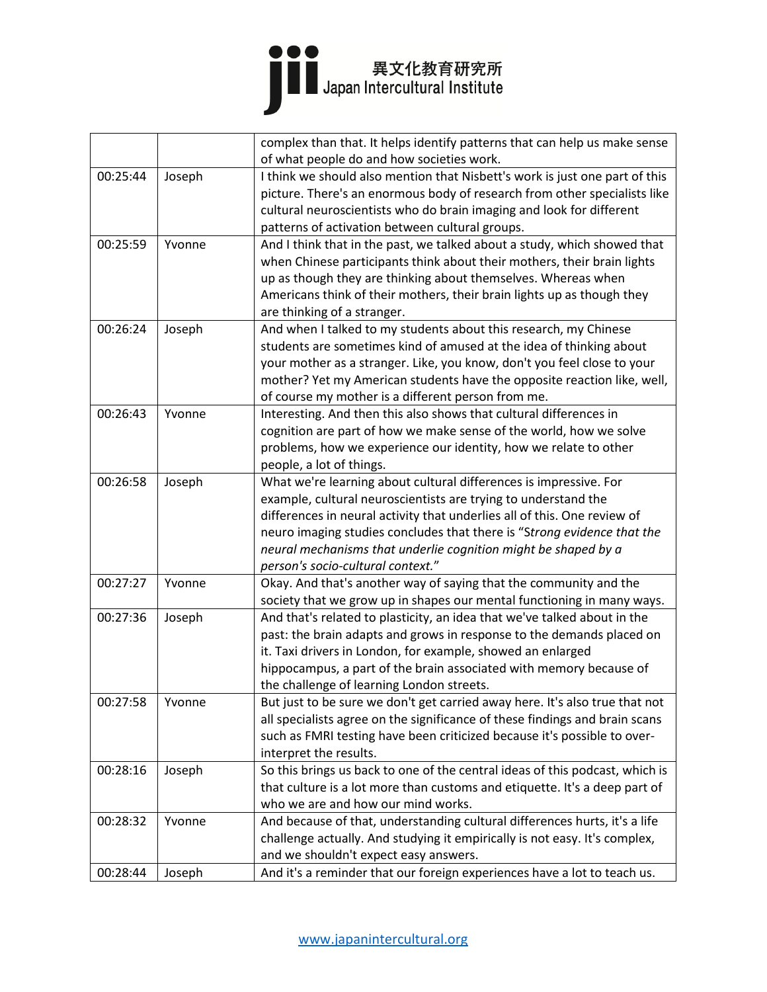|          |        | complex than that. It helps identify patterns that can help us make sense    |
|----------|--------|------------------------------------------------------------------------------|
|          |        | of what people do and how societies work.                                    |
| 00:25:44 | Joseph | I think we should also mention that Nisbett's work is just one part of this  |
|          |        | picture. There's an enormous body of research from other specialists like    |
|          |        | cultural neuroscientists who do brain imaging and look for different         |
|          |        | patterns of activation between cultural groups.                              |
| 00:25:59 | Yvonne | And I think that in the past, we talked about a study, which showed that     |
|          |        | when Chinese participants think about their mothers, their brain lights      |
|          |        | up as though they are thinking about themselves. Whereas when                |
|          |        | Americans think of their mothers, their brain lights up as though they       |
|          |        | are thinking of a stranger.                                                  |
| 00:26:24 | Joseph | And when I talked to my students about this research, my Chinese             |
|          |        | students are sometimes kind of amused at the idea of thinking about          |
|          |        | your mother as a stranger. Like, you know, don't you feel close to your      |
|          |        | mother? Yet my American students have the opposite reaction like, well,      |
|          |        | of course my mother is a different person from me.                           |
| 00:26:43 | Yvonne | Interesting. And then this also shows that cultural differences in           |
|          |        | cognition are part of how we make sense of the world, how we solve           |
|          |        | problems, how we experience our identity, how we relate to other             |
|          |        | people, a lot of things.                                                     |
| 00:26:58 | Joseph | What we're learning about cultural differences is impressive. For            |
|          |        | example, cultural neuroscientists are trying to understand the               |
|          |        | differences in neural activity that underlies all of this. One review of     |
|          |        | neuro imaging studies concludes that there is "Strong evidence that the      |
|          |        | neural mechanisms that underlie cognition might be shaped by a               |
|          |        | person's socio-cultural context."                                            |
| 00:27:27 | Yvonne | Okay. And that's another way of saying that the community and the            |
|          |        | society that we grow up in shapes our mental functioning in many ways.       |
| 00:27:36 | Joseph | And that's related to plasticity, an idea that we've talked about in the     |
|          |        | past: the brain adapts and grows in response to the demands placed on        |
|          |        | it. Taxi drivers in London, for example, showed an enlarged                  |
|          |        | hippocampus, a part of the brain associated with memory because of           |
|          |        | the challenge of learning London streets.                                    |
| 00:27:58 | Yvonne | But just to be sure we don't get carried away here. It's also true that not  |
|          |        | all specialists agree on the significance of these findings and brain scans  |
|          |        | such as FMRI testing have been criticized because it's possible to over-     |
|          |        | interpret the results.                                                       |
| 00:28:16 | Joseph | So this brings us back to one of the central ideas of this podcast, which is |
|          |        | that culture is a lot more than customs and etiquette. It's a deep part of   |
|          |        | who we are and how our mind works.                                           |
|          |        |                                                                              |
| 00:28:32 | Yvonne | And because of that, understanding cultural differences hurts, it's a life   |
|          |        | challenge actually. And studying it empirically is not easy. It's complex,   |
|          |        | and we shouldn't expect easy answers.                                        |
| 00:28:44 | Joseph | And it's a reminder that our foreign experiences have a lot to teach us.     |